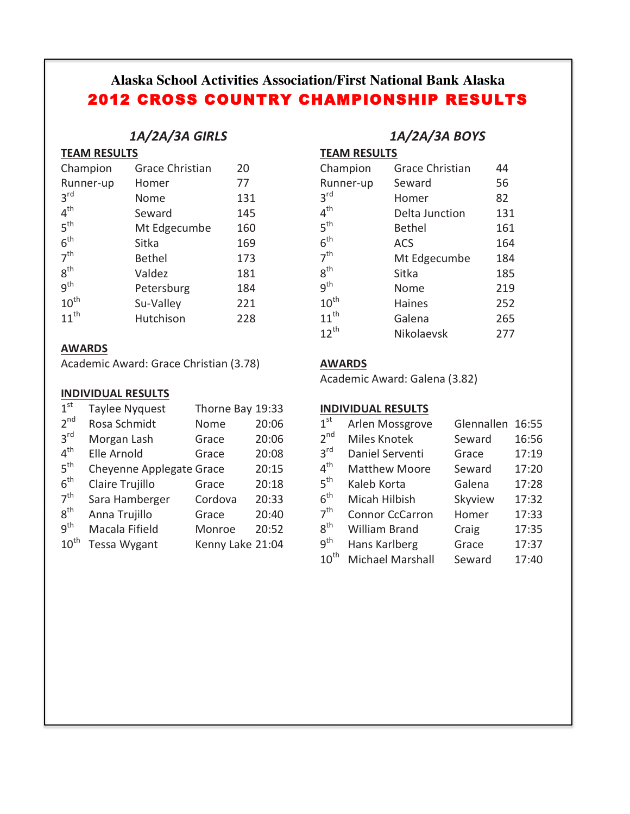# **Alaska School Activities Association/First National Bank Alaska** 2012 CROSS COUNTRY CHAMPIONSHIP RESULTS

## *1A/2A/3A GIRLS*

## **TEAM RESULTS**

| <b>Grace Christian</b> | 20  |
|------------------------|-----|
| Homer                  | 77  |
| Nome                   | 131 |
| Seward                 | 145 |
| Mt Edgecumbe           | 160 |
| Sitka                  | 169 |
| <b>Bethel</b>          | 173 |
| Valdez                 | 181 |
| Petersburg             | 184 |
| Su-Valley              | 221 |
| Hutchison              | 228 |
|                        |     |

## **AWARDS**

Academic Award: Grace Christian (3.78) **AWARDS** 

## **INDIVIDUAL RESULTS**

| 1 <sup>st</sup>  | Taylee Nyquest           | Thorne Bay 19:33 |       |
|------------------|--------------------------|------------------|-------|
| 2 <sup>nd</sup>  | Rosa Schmidt             | Nome             | 20:06 |
| 3 <sup>rd</sup>  | Morgan Lash              | Grace            | 20:06 |
| 4 <sup>th</sup>  | Elle Arnold              | Grace            | 20:08 |
| 5 <sup>th</sup>  | Cheyenne Applegate Grace |                  | 20:15 |
| 6 <sup>th</sup>  | Claire Trujillo          | Grace            | 20:18 |
| 7 <sup>th</sup>  | Sara Hamberger           | Cordova          | 20:33 |
| 8 <sup>th</sup>  | Anna Trujillo            | Grace            | 20:40 |
| q <sup>th</sup>  | Macala Fifield           | Monroe           | 20:52 |
| $10^{\text{th}}$ | <b>Tessa Wygant</b>      | Kenny Lake 21:04 |       |

## *1A/2A/3A BOYS*

**TEAM RESULTS** 

| Champion         | <b>Grace Christian</b> | 44  |
|------------------|------------------------|-----|
| Runner-up        | Seward                 | 56  |
| 3 <sup>rd</sup>  | Homer                  | 82  |
| 4 <sup>th</sup>  | Delta Junction         | 131 |
| 5 <sup>th</sup>  | <b>Bethel</b>          | 161 |
| 6 <sup>th</sup>  | <b>ACS</b>             | 164 |
| 7 <sup>th</sup>  | Mt Edgecumbe           | 184 |
| $8^{\text{th}}$  | Sitka                  | 185 |
| q <sup>th</sup>  | Nome                   | 219 |
| $10^{\text{th}}$ | <b>Haines</b>          | 252 |
| $11^{th}$        | Galena                 | 265 |
| $12^{th}$        | Nikolaevsk             | 277 |

Academic Award: Galena (3.82)

## **INDIVIDUAL RESULTS**

| 1 <sup>st</sup> | Arlen Mossgrove        | Glennallen | 16:55 |
|-----------------|------------------------|------------|-------|
| 2 <sup>nd</sup> | Miles Knotek           | Seward     | 16:56 |
| 3 <sup>rd</sup> | Daniel Serventi        | Grace      | 17:19 |
| $4^{\text{th}}$ | <b>Matthew Moore</b>   | Seward     | 17:20 |
| 5 <sup>th</sup> | Kaleb Korta            | Galena     | 17:28 |
| 6 <sup>th</sup> | Micah Hilbish          | Skyview    | 17:32 |
| 7 <sup>th</sup> | <b>Connor CcCarron</b> | Homer      | 17:33 |
| 8 <sup>th</sup> | <b>William Brand</b>   | Craig      | 17:35 |
| g <sup>th</sup> | Hans Karlberg          | Grace      | 17:37 |
| $10^{th}$       | Michael Marshall       | Seward     | 17:40 |